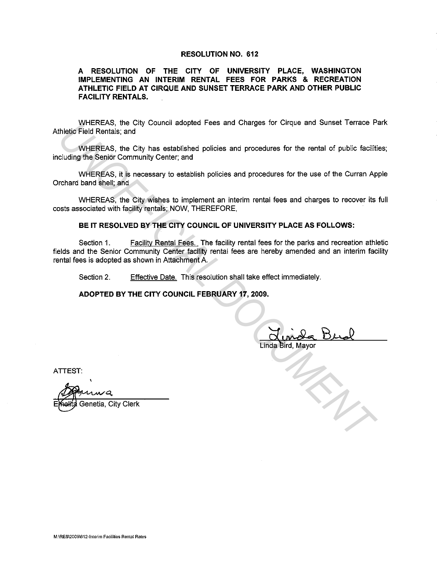## **RESOLUTION NO. 612**

## **A RESOLUTION OF THE CITY OF UNIVERSITY PLACE, WASHINGTON IMPLEMENTING AN INTERIM RENTAL FEES FOR PARKS & RECREATION ATHLETIC FIELD AT CIRQUE AND SUNSET TERRACE PARK AND OTHER PUBLIC FACILITY RENTALS.**

WHEREAS, the City Council adopted Fees and Charges for Cirque and Sunset Terrace Park Athletic Field Rentals; and

WHEREAS, the City has established policies and procedures for the rental of public facilities; including the Senior Community Center; and

WHEREAS, it is necessary to establish policies and procedures for the use of the Curran Apple Orchard band shell; and

WHEREAS, the City wishes to implement an interim rental fees and charges to recover its full costs associated with facility rentals; NOW, THEREFORE,

## **BE IT RESOLVED BY THE CITY COUNCIL OF UNIVERSITY PLACE AS FOLLOWS:**

Section 1. Facility Rental Fees. The facility rental fees for the parks and recreation athletic fields and the Senior Community Center facility rental fees are hereby amended and an interim facility rental fees is adopted as shown in Attachment A. WHEREAS, the City Council adopted Fees and Charges for Circle and Sunset Tenside<br>
WHEREAS, the City has established policies and procedures for the rental of public facility<br>city where the second of the Senior Community Ce

Section 2. **Effective Date. This resolution shall take effect immediately.** 

**ADOPTED BY THE CITY COUNCIL FEBRUARY 17, 2009.** 

Minida Bud

ATTEST:

Genetia, City Clerk